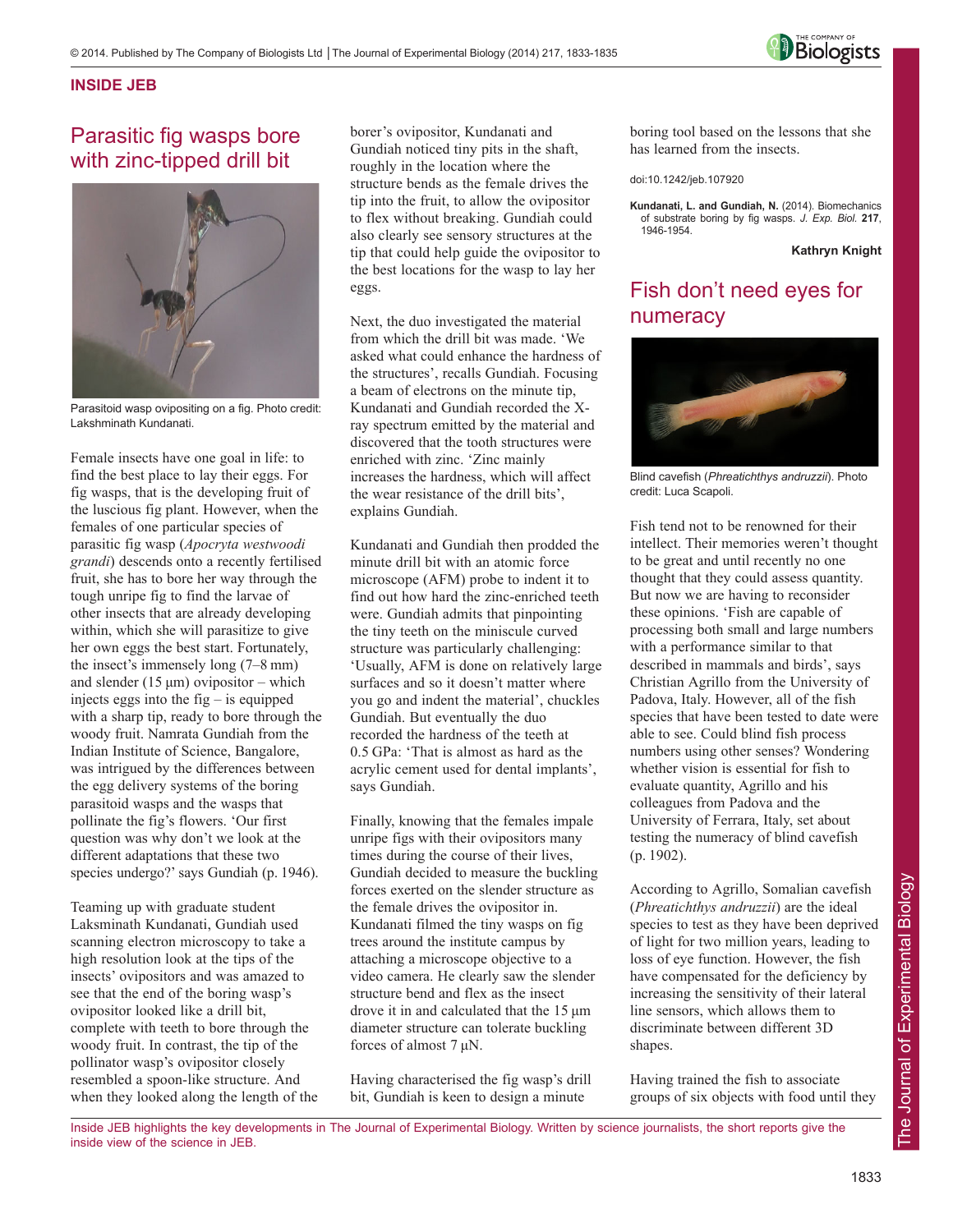

### **INSIDE JEB**

# Parasitic fig wasps bore with zinc-tipped drill bit



Parasitoid wasp ovipositing on a fig. Photo credit: Lakshminath Kundanati.

Female insects have one goal in life: to find the best place to lay their eggs. For fig wasps, that is the developing fruit of the luscious fig plant. However, when the females of one particular species of parasitic fig wasp (*Apocryta westwoodi grandi*) descends onto a recently fertilised fruit, she has to bore her way through the tough unripe fig to find the larvae of other insects that are already developing within, which she will parasitize to give her own eggs the best start. Fortunately, the insect's immensely long (7–8 mm) and slender (15  $\mu$ m) ovipositor – which injects eggs into the fig – is equipped with a sharp tip, ready to bore through the woody fruit. Namrata Gundiah from the Indian Institute of Science, Bangalore, was intrigued by the differences between the egg delivery systems of the boring parasitoid wasps and the wasps that pollinate the fig's flowers. 'Our first question was why don't we look at the different adaptations that these two species undergo?' says Gundiah (p. 1946).

Teaming up with graduate student Laksminath Kundanati, Gundiah used scanning electron microscopy to take a high resolution look at the tips of the insects' ovipositors and was amazed to see that the end of the boring wasp's ovipositor looked like a drill bit, complete with teeth to bore through the woody fruit. In contrast, the tip of the pollinator wasp's ovipositor closely resembled a spoon-like structure. And when they looked along the length of the borer's ovipositor, Kundanati and Gundiah noticed tiny pits in the shaft, roughly in the location where the structure bends as the female drives the tip into the fruit, to allow the ovipositor to flex without breaking. Gundiah could also clearly see sensory structures at the tip that could help guide the ovipositor to the best locations for the wasp to lay her eggs.

Next, the duo investigated the material from which the drill bit was made. 'We asked what could enhance the hardness of the structures', recalls Gundiah. Focusing a beam of electrons on the minute tip, Kundanati and Gundiah recorded the Xray spectrum emitted by the material and discovered that the tooth structures were enriched with zinc. 'Zinc mainly increases the hardness, which will affect the wear resistance of the drill bits', explains Gundiah.

Kundanati and Gundiah then prodded the minute drill bit with an atomic force microscope (AFM) probe to indent it to find out how hard the zinc-enriched teeth were. Gundiah admits that pinpointing the tiny teeth on the miniscule curved structure was particularly challenging: 'Usually, AFM is done on relatively large surfaces and so it doesn't matter where you go and indent the material', chuckles Gundiah. But eventually the duo recorded the hardness of the teeth at 0.5 GPa: 'That is almost as hard as the acrylic cement used for dental implants', says Gundiah.

Finally, knowing that the females impale unripe figs with their ovipositors many times during the course of their lives, Gundiah decided to measure the buckling forces exerted on the slender structure as the female drives the ovipositor in. Kundanati filmed the tiny wasps on fig trees around the institute campus by attaching a microscope objective to a video camera. He clearly saw the slender structure bend and flex as the insect drove it in and calculated that the 15 μm diameter structure can tolerate buckling forces of almost 7 μN.

Having characterised the fig wasp's drill bit, Gundiah is keen to design a minute

boring tool based on the lessons that she has learned from the insects.

doi:10.1242/jeb.107920

**Kundanati, L. and Gundiah, N.** (2014). Biomechanics of substrate boring by fig wasps. *J. Exp. Biol.* **217**, 1946-1954.

**Kathryn Knight**

# Fish don't need eyes for numeracy



Blind cavefish (*Phreatichthys andruzzii*). Photo credit: Luca Scapoli.

Fish tend not to be renowned for their intellect. Their memories weren't thought to be great and until recently no one thought that they could assess quantity. But now we are having to reconsider these opinions. 'Fish are capable of processing both small and large numbers with a performance similar to that described in mammals and birds', says Christian Agrillo from the University of Padova, Italy. However, all of the fish species that have been tested to date were able to see. Could blind fish process numbers using other senses? Wondering whether vision is essential for fish to evaluate quantity, Agrillo and his colleagues from Padova and the University of Ferrara, Italy, set about testing the numeracy of blind cavefish (p. 1902).

According to Agrillo, Somalian cavefish (*Phreatichthys andruzzii*) are the ideal species to test as they have been deprived of light for two million years, leading to loss of eye function. However, the fish have compensated for the deficiency by increasing the sensitivity of their lateral line sensors, which allows them to discriminate between different 3D shapes.

Having trained the fish to associate groups of six objects with food until they

Inside JEB highlights the key developments in The Journal of Experimental Biology. Written by science journalists, the short reports give the inside view of the science in JEB.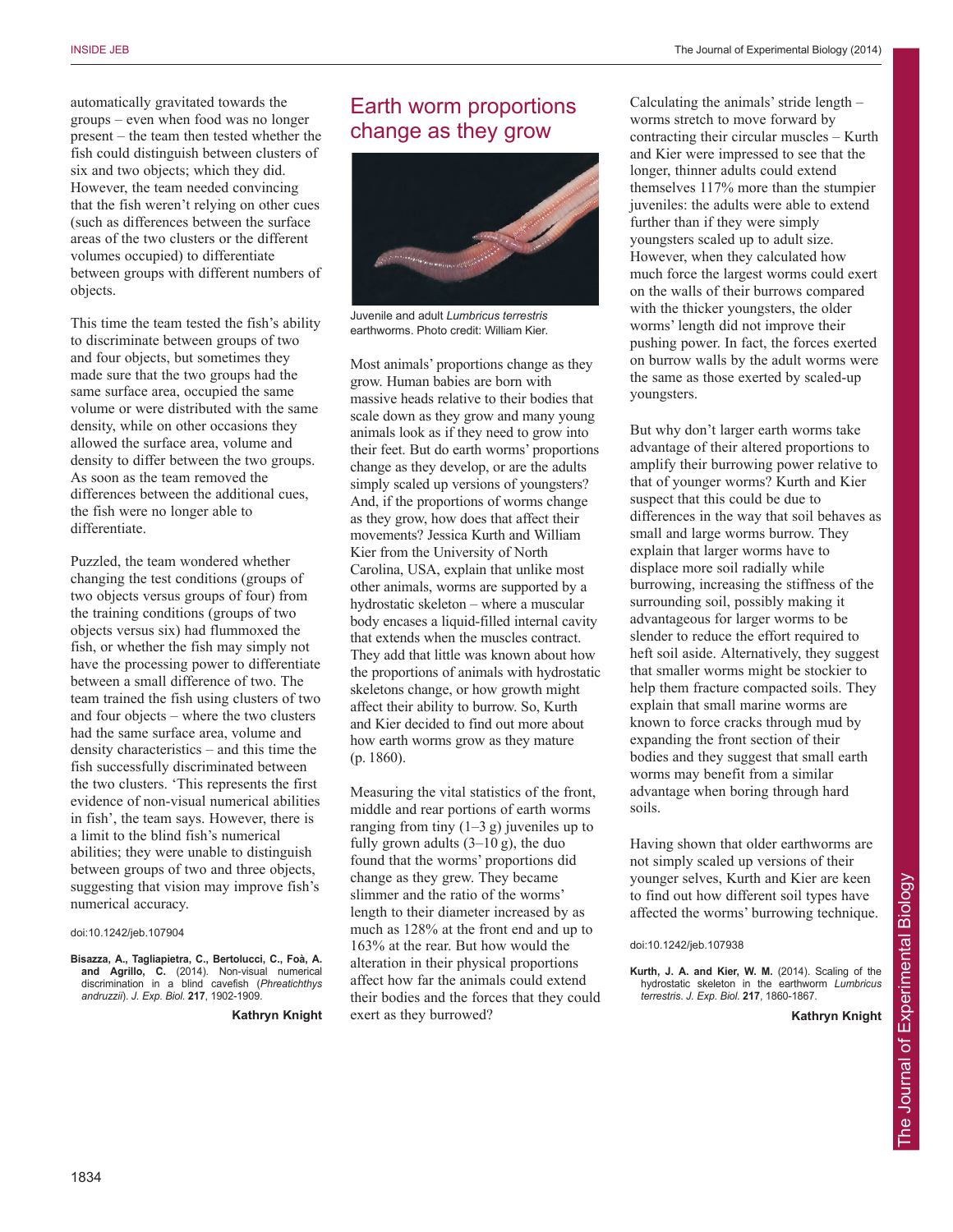automatically gravitated towards the groups – even when food was no longer present – the team then tested whether the fish could distinguish between clusters of six and two objects; which they did. However, the team needed convincing that the fish weren't relying on other cues (such as differences between the surface areas of the two clusters or the different volumes occupied) to differentiate between groups with different numbers of objects.

This time the team tested the fish's ability to discriminate between groups of two and four objects, but sometimes they made sure that the two groups had the same surface area, occupied the same volume or were distributed with the same density, while on other occasions they allowed the surface area, volume and density to differ between the two groups. As soon as the team removed the differences between the additional cues, the fish were no longer able to differentiate.

Puzzled, the team wondered whether changing the test conditions (groups of two objects versus groups of four) from the training conditions (groups of two objects versus six) had flummoxed the fish, or whether the fish may simply not have the processing power to differentiate between a small difference of two. The team trained the fish using clusters of two and four objects – where the two clusters had the same surface area, volume and density characteristics – and this time the fish successfully discriminated between the two clusters. 'This represents the first evidence of non-visual numerical abilities in fish', the team says. However, there is a limit to the blind fish's numerical abilities; they were unable to distinguish between groups of two and three objects, suggesting that vision may improve fish's numerical accuracy.

#### doi:10.1242/jeb.107904

**Bisazza, A., Tagliapietra, C., Bertolucci, C., Foà, A. and Agrillo, C.** (2014). Non-visual numerical discrimination in a blind cavefish (*Phreatichthys andruzzii*). *J. Exp. Biol.* **217**, 1902-1909.

**Kathryn Knight**

## Earth worm proportions change as they grow



Juvenile and adult *Lumbricus terrestris* earthworms. Photo credit: William Kier.

Most animals' proportions change as they grow. Human babies are born with massive heads relative to their bodies that scale down as they grow and many young animals look as if they need to grow into their feet. But do earth worms' proportions change as they develop, or are the adults simply scaled up versions of youngsters? And, if the proportions of worms change as they grow, how does that affect their movements? Jessica Kurth and William Kier from the University of North Carolina, USA, explain that unlike most other animals, worms are supported by a hydrostatic skeleton – where a muscular body encases a liquid-filled internal cavity that extends when the muscles contract. They add that little was known about how the proportions of animals with hydrostatic skeletons change, or how growth might affect their ability to burrow. So, Kurth and Kier decided to find out more about how earth worms grow as they mature (p. 1860).

Measuring the vital statistics of the front, middle and rear portions of earth worms ranging from tiny  $(1-3 g)$  juveniles up to fully grown adults  $(3-10 \text{ g})$ , the duo found that the worms' proportions did change as they grew. They became slimmer and the ratio of the worms' length to their diameter increased by as much as 128% at the front end and up to 163% at the rear. But how would the alteration in their physical proportions affect how far the animals could extend their bodies and the forces that they could exert as they burrowed?

Calculating the animals' stride length – worms stretch to move forward by contracting their circular muscles – Kurth and Kier were impressed to see that the longer, thinner adults could extend themselves 117% more than the stumpier juveniles: the adults were able to extend further than if they were simply youngsters scaled up to adult size. However, when they calculated how much force the largest worms could exert on the walls of their burrows compared with the thicker youngsters, the older worms' length did not improve their pushing power. In fact, the forces exerted on burrow walls by the adult worms were the same as those exerted by scaled-up youngsters.

But why don't larger earth worms take advantage of their altered proportions to amplify their burrowing power relative to that of younger worms? Kurth and Kier suspect that this could be due to differences in the way that soil behaves as small and large worms burrow. They explain that larger worms have to displace more soil radially while burrowing, increasing the stiffness of the surrounding soil, possibly making it advantageous for larger worms to be slender to reduce the effort required to heft soil aside. Alternatively, they suggest that smaller worms might be stockier to help them fracture compacted soils. They explain that small marine worms are known to force cracks through mud by expanding the front section of their bodies and they suggest that small earth worms may benefit from a similar advantage when boring through hard soils.

Having shown that older earthworms are not simply scaled up versions of their younger selves, Kurth and Kier are keen to find out how different soil types have affected the worms' burrowing technique.

doi:10.1242/jeb.107938

**Kurth, J. A. and Kier, W. M.** (2014). Scaling of the hydrostatic skeleton in the earthworm *Lumbricus terrestris*. *J. Exp. Biol.* **217**, 1860-1867.

**Kathryn Knight**